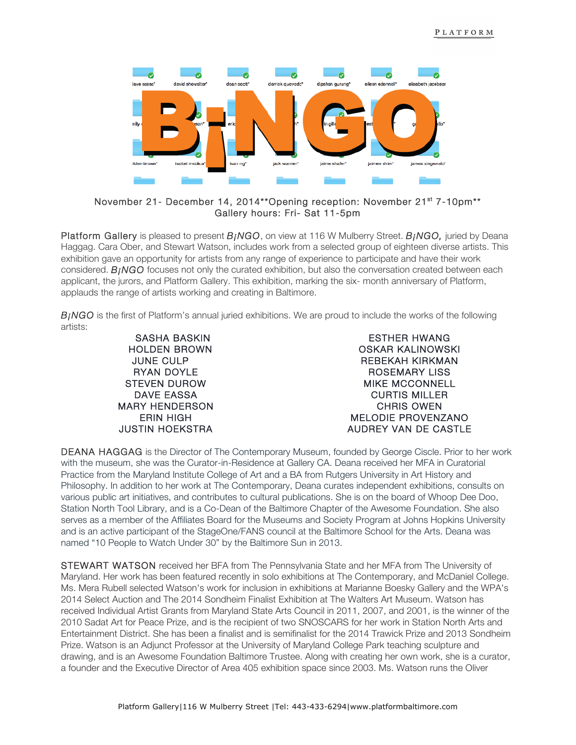

## November 21- December 14, 2014\*\*Opening reception: November 21<sup>st</sup> 7-10pm\*\* Gallery hours: Fri- Sat 11-5pm

Platform Gallery is pleased to present *B¡NGO*, on view at 116 W Mulberry Street. *B¡NGO,* juried by Deana Haggag. Cara Ober, and Stewart Watson, includes work from a selected group of eighteen diverse artists. This exhibition gave an opportunity for artists from any range of experience to participate and have their work considered. **B<sub>I</sub>NGO** focuses not only the curated exhibition, but also the conversation created between each applicant, the jurors, and Platform Gallery. This exhibition, marking the six- month anniversary of Platform, applauds the range of artists working and creating in Baltimore.

*B*<sub>*INGO* is the first of Platform's annual juried exhibitions. We are proud to include the works of the following</sub> artists:

> SASHA BASKIN HOLDEN BROWN JUNE CULP RYAN DOYLE STEVEN DUROW DAVE EASSA MARY HENDERSON ERIN HIGH JUSTIN HOEKSTRA

ESTHER HWANG OSKAR KALINOWSKI REBEKAH KIRKMAN ROSEMARY LISS MIKE MCCONNELL CURTIS MILLER CHRIS OWEN MELODIE PROVENZANO AUDREY VAN DE CASTLE

DEANA HAGGAG is the Director of The Contemporary Museum, founded by George Ciscle. Prior to her work with the museum, she was the Curator-in-Residence at Gallery CA. Deana received her MFA in Curatorial Practice from the Maryland Institute College of Art and a BA from Rutgers University in Art History and Philosophy. In addition to her work at The Contemporary, Deana curates independent exhibitions, consults on various public art initiatives, and contributes to cultural publications. She is on the board of Whoop Dee Doo, Station North Tool Library, and is a Co-Dean of the Baltimore Chapter of the Awesome Foundation. She also serves as a member of the Affiliates Board for the Museums and Society Program at Johns Hopkins University and is an active participant of the StageOne/FANS council at the Baltimore School for the Arts. Deana was named "10 People to Watch Under 30" by the Baltimore Sun in 2013.

STEWART WATSON received her BFA from The Pennsylvania State and her MFA from The University of Maryland. Her work has been featured recently in solo exhibitions at The Contemporary, and McDaniel College. Ms. Mera Rubell selected Watson's work for inclusion in exhibitions at Marianne Boesky Gallery and the WPA's 2014 Select Auction and The 2014 Sondheim Finalist Exhibition at The Walters Art Museum. Watson has received Individual Artist Grants from Maryland State Arts Council in 2011, 2007, and 2001, is the winner of the 2010 Sadat Art for Peace Prize, and is the recipient of two SNOSCARS for her work in Station North Arts and Entertainment District. She has been a finalist and is semifinalist for the 2014 Trawick Prize and 2013 Sondheim Prize. Watson is an Adjunct Professor at the University of Maryland College Park teaching sculpture and drawing, and is an Awesome Foundation Baltimore Trustee. Along with creating her own work, she is a curator, a founder and the Executive Director of Area 405 exhibition space since 2003. Ms. Watson runs the Oliver